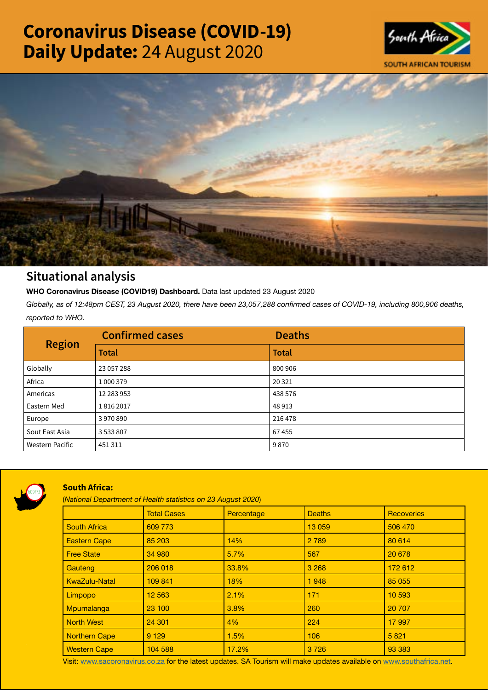# Coronavirus Disease (COVID-19) Daily Update: 24 August 2020





## Situational analysis

**WHO Coronavirus Disease (COVID19) Dashboard.** Data last updated 23 August 2020

*Globally, as of 12:48pm CEST, 23 August 2020, there have been 23,057,288 confirmed cases of COVID-19, including 800,906 deaths, reported to WHO.*

| <b>Region</b>          | <b>Confirmed cases</b> | <b>Deaths</b> |
|------------------------|------------------------|---------------|
|                        | <b>Total</b>           | <b>Total</b>  |
| Globally               | 23 057 288             | 800 906       |
| Africa                 | 1 000 379              | 20 3 21       |
| Americas               | 12 283 953             | 438 576       |
| Eastern Med            | 18162017               | 48913         |
| Europe                 | 3970890                | 216 478       |
| Sout East Asia         | 3533807                | 67455         |
| <b>Western Pacific</b> | 451311                 | 9870          |



### South Africa:

(*National Department of Health statistics on 23 August 2020*)

|                      | <b>Total Cases</b> | Percentage | <b>Deaths</b> | <b>Recoveries</b> |  |
|----------------------|--------------------|------------|---------------|-------------------|--|
| <b>South Africa</b>  | 609 773            |            | 13 059        | 506 470           |  |
| <b>Eastern Cape</b>  | 85 203             | 14%        | 2 7 8 9       | 80 614            |  |
| <b>Free State</b>    | 34 980             | 5.7%       | 567           | 20 678            |  |
| Gauteng              | 206 018            | 33.8%      | 3 2 6 8       | 172 612           |  |
| <b>KwaZulu-Natal</b> | 109 841            | 18%        | 1948          | 85 055            |  |
| Limpopo              | 12 5 63            | 2.1%       | 171           | 10 593            |  |
| Mpumalanga           | 23 100             | 3.8%       | 260           | 20 70 7           |  |
| <b>North West</b>    | 24 301             | 4%         | 224           | 17 997            |  |
| Northern Cape        | 9 1 2 9            | 1.5%       | 106           | 5821              |  |
| <b>Western Cape</b>  | 104 588            | 17.2%      | 3726          | 93 383            |  |

Visit: [www.sacoronavirus.co.za](http://www.sacoronavirus.co.za) for the latest updates. SA Tourism will make updates available on [www.southafrica.net.](http://www.southafrica.net)